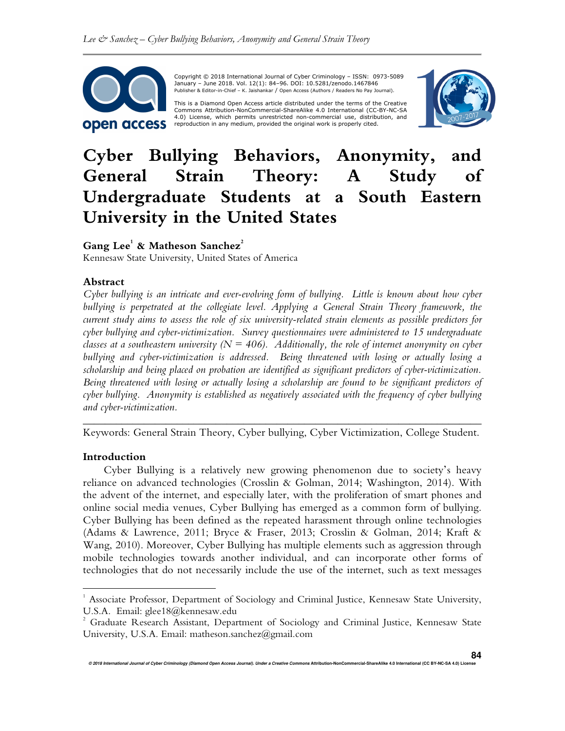

 Copyright © 2018 International Journal of Cyber Criminology – ISSN: 0973-5089 January – June 2018. Vol. 12(1): 84–96. DOI: 10.5281/zenodo.1467846 Publisher & Editor-in-Chief – K. Jaishankar / Open Access (Authors / Readers No Pay Journal).

This is a Diamond Open Access article distributed under the terms of the Creative<br>Commons Attribution-NonCommercial-ShareAlike 4.0 International (CC-BY-NC-SA 4.0) License, which permits unrestricted non-commercial use, distribution, and reproduction in any medium, provided the original work is properly cited.



# **Cyber Bullying Behaviors, Anonymity, and General Strain Theory: A Study of Undergraduate Students at a South Eastern University in the United States**

# **Gang Lee<sup>1</sup> & Matheson Sanchez<sup>2</sup>**

Kennesaw State University, United States of America

## **Abstract**

*Cyber bullying is an intricate and ever-evolving form of bullying. Little is known about how cyber bullying is perpetrated at the collegiate level. Applying a General Strain Theory framework, the current study aims to assess the role of six university-related strain elements as possible predictors for cyber bullying and cyber-victimization. Survey questionnaires were administered to 15 undergraduate classes at a southeastern university (* $N = 406$ *). Additionally, the role of internet anonymity on cyber bullying and cyber-victimization is addressed. Being threatened with losing or actually losing a scholarship and being placed on probation are identified as significant predictors of cyber-victimization. Being threatened with losing or actually losing a scholarship are found to be significant predictors of cyber bullying. Anonymity is established as negatively associated with the frequency of cyber bullying and cyber-victimization.* 

*\_\_\_\_\_\_\_\_\_\_\_\_\_\_\_\_\_\_\_\_\_\_\_\_\_\_\_\_\_\_\_\_\_\_\_\_\_\_\_\_\_\_\_\_\_\_\_\_\_\_\_\_\_\_\_\_\_\_\_\_\_\_\_\_\_\_\_*\_\_\_\_\_ Keywords: General Strain Theory, Cyber bullying, Cyber Victimization, College Student.

## **Introduction**

 $\overline{a}$ 

Cyber Bullying is a relatively new growing phenomenon due to society's heavy reliance on advanced technologies (Crosslin & Golman, 2014; Washington, 2014). With the advent of the internet, and especially later, with the proliferation of smart phones and online social media venues, Cyber Bullying has emerged as a common form of bullying. Cyber Bullying has been defined as the repeated harassment through online technologies (Adams & Lawrence, 2011; Bryce & Fraser, 2013; Crosslin & Golman, 2014; Kraft & Wang, 2010). Moreover, Cyber Bullying has multiple elements such as aggression through mobile technologies towards another individual, and can incorporate other forms of technologies that do not necessarily include the use of the internet, such as text messages

<sup>1</sup> Associate Professor, Department of Sociology and Criminal Justice, Kennesaw State University, U.S.A. Email: glee18@kennesaw.edu

<sup>2</sup> Graduate Research Assistant, Department of Sociology and Criminal Justice, Kennesaw State University, U.S.A. Email: matheson.sanchez@gmail.com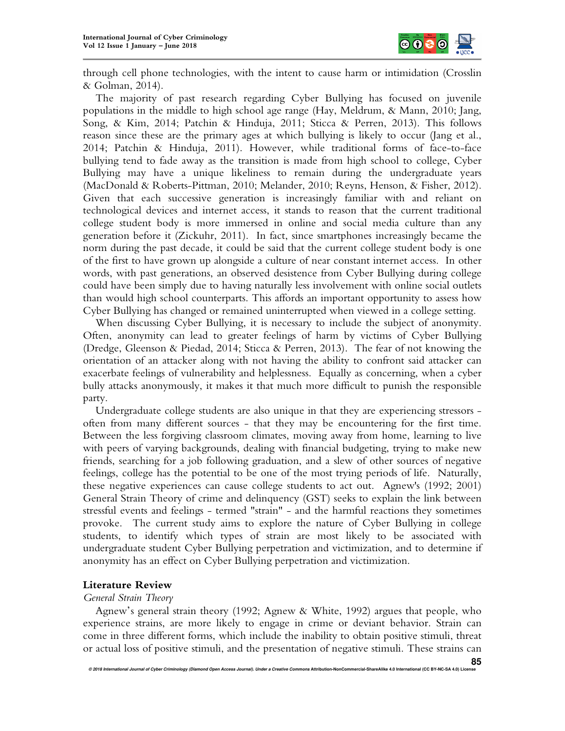

through cell phone technologies, with the intent to cause harm or intimidation (Crosslin & Golman, 2014).

The majority of past research regarding Cyber Bullying has focused on juvenile populations in the middle to high school age range (Hay, Meldrum, & Mann, 2010; Jang, Song, & Kim, 2014; Patchin & Hinduja, 2011; Sticca & Perren, 2013). This follows reason since these are the primary ages at which bullying is likely to occur (Jang et al., 2014; Patchin & Hinduja, 2011). However, while traditional forms of face-to-face bullying tend to fade away as the transition is made from high school to college, Cyber Bullying may have a unique likeliness to remain during the undergraduate years (MacDonald & Roberts-Pittman, 2010; Melander, 2010; Reyns, Henson, & Fisher, 2012). Given that each successive generation is increasingly familiar with and reliant on technological devices and internet access, it stands to reason that the current traditional college student body is more immersed in online and social media culture than any generation before it (Zickuhr, 2011). In fact, since smartphones increasingly became the norm during the past decade, it could be said that the current college student body is one of the first to have grown up alongside a culture of near constant internet access. In other words, with past generations, an observed desistence from Cyber Bullying during college could have been simply due to having naturally less involvement with online social outlets than would high school counterparts. This affords an important opportunity to assess how Cyber Bullying has changed or remained uninterrupted when viewed in a college setting.

When discussing Cyber Bullying, it is necessary to include the subject of anonymity. Often, anonymity can lead to greater feelings of harm by victims of Cyber Bullying (Dredge, Gleenson & Piedad, 2014; Sticca & Perren, 2013). The fear of not knowing the orientation of an attacker along with not having the ability to confront said attacker can exacerbate feelings of vulnerability and helplessness. Equally as concerning, when a cyber bully attacks anonymously, it makes it that much more difficult to punish the responsible party.

Undergraduate college students are also unique in that they are experiencing stressors often from many different sources - that they may be encountering for the first time. Between the less forgiving classroom climates, moving away from home, learning to live with peers of varying backgrounds, dealing with financial budgeting, trying to make new friends, searching for a job following graduation, and a slew of other sources of negative feelings, college has the potential to be one of the most trying periods of life. Naturally, these negative experiences can cause college students to act out. Agnew's (1992; 2001) General Strain Theory of crime and delinquency (GST) seeks to explain the link between stressful events and feelings - termed "strain" - and the harmful reactions they sometimes provoke. The current study aims to explore the nature of Cyber Bullying in college students, to identify which types of strain are most likely to be associated with undergraduate student Cyber Bullying perpetration and victimization, and to determine if anonymity has an effect on Cyber Bullying perpetration and victimization.

## **Literature Review**

## *General Strain Theory*

Agnew's general strain theory (1992; Agnew & White, 1992) argues that people, who experience strains, are more likely to engage in crime or deviant behavior. Strain can come in three different forms, which include the inability to obtain positive stimuli, threat or actual loss of positive stimuli, and the presentation of negative stimuli. These strains can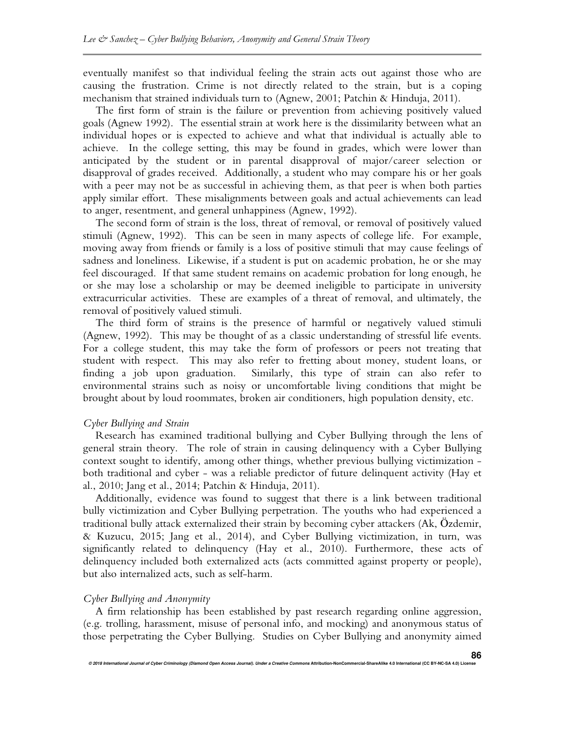eventually manifest so that individual feeling the strain acts out against those who are causing the frustration. Crime is not directly related to the strain, but is a coping mechanism that strained individuals turn to (Agnew, 2001; Patchin & Hinduja, 2011).

The first form of strain is the failure or prevention from achieving positively valued goals (Agnew 1992). The essential strain at work here is the dissimilarity between what an individual hopes or is expected to achieve and what that individual is actually able to achieve. In the college setting, this may be found in grades, which were lower than anticipated by the student or in parental disapproval of major/career selection or disapproval of grades received. Additionally, a student who may compare his or her goals with a peer may not be as successful in achieving them, as that peer is when both parties apply similar effort. These misalignments between goals and actual achievements can lead to anger, resentment, and general unhappiness (Agnew, 1992).

The second form of strain is the loss, threat of removal, or removal of positively valued stimuli (Agnew, 1992). This can be seen in many aspects of college life. For example, moving away from friends or family is a loss of positive stimuli that may cause feelings of sadness and loneliness. Likewise, if a student is put on academic probation, he or she may feel discouraged. If that same student remains on academic probation for long enough, he or she may lose a scholarship or may be deemed ineligible to participate in university extracurricular activities. These are examples of a threat of removal, and ultimately, the removal of positively valued stimuli.

The third form of strains is the presence of harmful or negatively valued stimuli (Agnew, 1992). This may be thought of as a classic understanding of stressful life events. For a college student, this may take the form of professors or peers not treating that student with respect. This may also refer to fretting about money, student loans, or finding a job upon graduation. Similarly, this type of strain can also refer to environmental strains such as noisy or uncomfortable living conditions that might be brought about by loud roommates, broken air conditioners, high population density, etc.

#### *Cyber Bullying and Strain*

Research has examined traditional bullying and Cyber Bullying through the lens of general strain theory. The role of strain in causing delinquency with a Cyber Bullying context sought to identify, among other things, whether previous bullying victimization both traditional and cyber - was a reliable predictor of future delinquent activity (Hay et al., 2010; Jang et al., 2014; Patchin & Hinduja, 2011).

Additionally, evidence was found to suggest that there is a link between traditional bully victimization and Cyber Bullying perpetration. The youths who had experienced a traditional bully attack externalized their strain by becoming cyber attackers (Ak, Özdemir, & Kuzucu, 2015; Jang et al., 2014), and Cyber Bullying victimization, in turn, was significantly related to delinquency (Hay et al., 2010). Furthermore, these acts of delinquency included both externalized acts (acts committed against property or people), but also internalized acts, such as self-harm.

## *Cyber Bullying and Anonymity*

A firm relationship has been established by past research regarding online aggression, (e.g. trolling, harassment, misuse of personal info, and mocking) and anonymous status of those perpetrating the Cyber Bullying. Studies on Cyber Bullying and anonymity aimed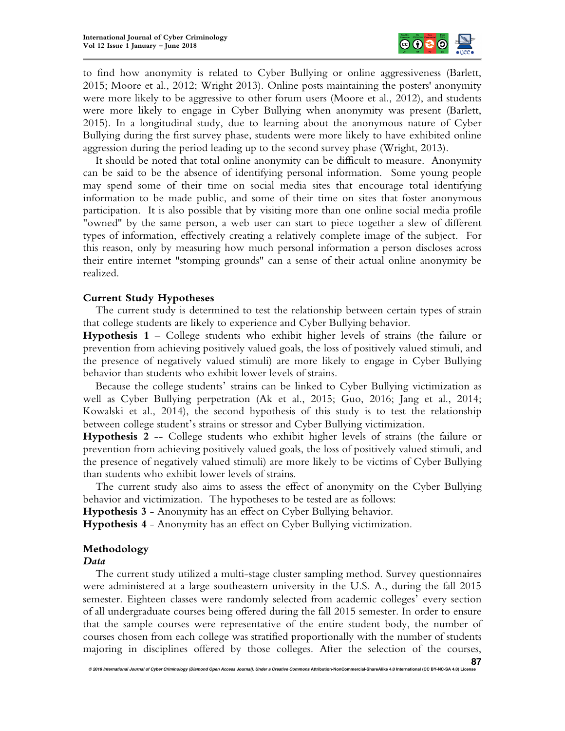

to find how anonymity is related to Cyber Bullying or online aggressiveness (Barlett, 2015; Moore et al., 2012; Wright 2013). Online posts maintaining the posters' anonymity were more likely to be aggressive to other forum users (Moore et al., 2012), and students were more likely to engage in Cyber Bullying when anonymity was present (Barlett, 2015). In a longitudinal study, due to learning about the anonymous nature of Cyber Bullying during the first survey phase, students were more likely to have exhibited online aggression during the period leading up to the second survey phase (Wright, 2013).

It should be noted that total online anonymity can be difficult to measure. Anonymity can be said to be the absence of identifying personal information. Some young people may spend some of their time on social media sites that encourage total identifying information to be made public, and some of their time on sites that foster anonymous participation. It is also possible that by visiting more than one online social media profile "owned" by the same person, a web user can start to piece together a slew of different types of information, effectively creating a relatively complete image of the subject. For this reason, only by measuring how much personal information a person discloses across their entire internet "stomping grounds" can a sense of their actual online anonymity be realized.

## **Current Study Hypotheses**

The current study is determined to test the relationship between certain types of strain that college students are likely to experience and Cyber Bullying behavior.

**Hypothesis 1** – College students who exhibit higher levels of strains (the failure or prevention from achieving positively valued goals, the loss of positively valued stimuli, and the presence of negatively valued stimuli) are more likely to engage in Cyber Bullying behavior than students who exhibit lower levels of strains.

Because the college students' strains can be linked to Cyber Bullying victimization as well as Cyber Bullying perpetration (Ak et al., 2015; Guo, 2016; Jang et al., 2014; Kowalski et al., 2014), the second hypothesis of this study is to test the relationship between college student's strains or stressor and Cyber Bullying victimization.

**Hypothesis 2** -- College students who exhibit higher levels of strains (the failure or prevention from achieving positively valued goals, the loss of positively valued stimuli, and the presence of negatively valued stimuli) are more likely to be victims of Cyber Bullying than students who exhibit lower levels of strains.

The current study also aims to assess the effect of anonymity on the Cyber Bullying behavior and victimization. The hypotheses to be tested are as follows:

**Hypothesis 3** - Anonymity has an effect on Cyber Bullying behavior.

**Hypothesis 4** - Anonymity has an effect on Cyber Bullying victimization.

## **Methodology**

## *Data*

The current study utilized a multi-stage cluster sampling method. Survey questionnaires were administered at a large southeastern university in the U.S. A., during the fall 2015 semester. Eighteen classes were randomly selected from academic colleges' every section of all undergraduate courses being offered during the fall 2015 semester. In order to ensure that the sample courses were representative of the entire student body, the number of courses chosen from each college was stratified proportionally with the number of students majoring in disciplines offered by those colleges. After the selection of the courses,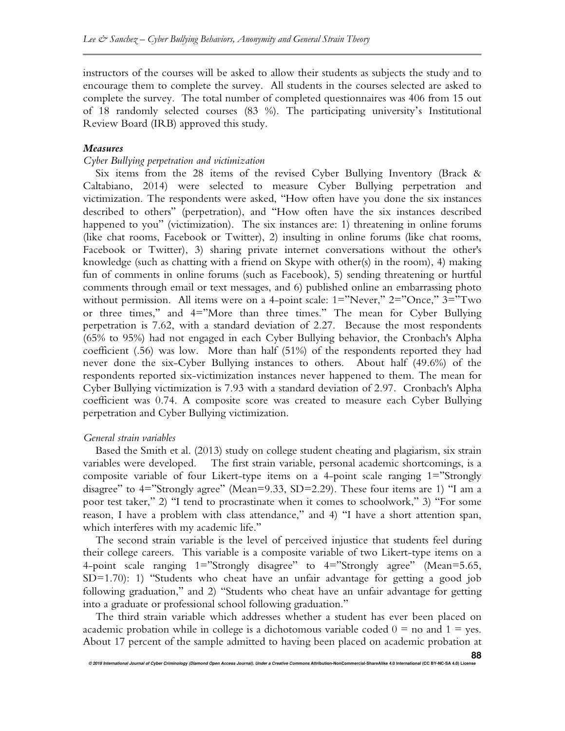instructors of the courses will be asked to allow their students as subjects the study and to encourage them to complete the survey. All students in the courses selected are asked to complete the survey. The total number of completed questionnaires was 406 from 15 out of 18 randomly selected courses (83 %). The participating university's Institutional Review Board (IRB) approved this study.

## *Measures*

#### *Cyber Bullying perpetration and victimization*

Six items from the 28 items of the revised Cyber Bullying Inventory (Brack & Caltabiano, 2014) were selected to measure Cyber Bullying perpetration and victimization. The respondents were asked, "How often have you done the six instances described to others" (perpetration), and "How often have the six instances described happened to you" (victimization). The six instances are: 1) threatening in online forums (like chat rooms, Facebook or Twitter), 2) insulting in online forums (like chat rooms, Facebook or Twitter), 3) sharing private internet conversations without the other's knowledge (such as chatting with a friend on Skype with other(s) in the room), 4) making fun of comments in online forums (such as Facebook), 5) sending threatening or hurtful comments through email or text messages, and 6) published online an embarrassing photo without permission. All items were on a 4-point scale: 1="Never," 2="Once," 3="Two or three times," and 4="More than three times." The mean for Cyber Bullying perpetration is 7.62, with a standard deviation of 2.27. Because the most respondents (65% to 95%) had not engaged in each Cyber Bullying behavior, the Cronbach's Alpha coefficient (.56) was low. More than half (51%) of the respondents reported they had never done the six-Cyber Bullying instances to others. About half (49.6%) of the respondents reported six-victimization instances never happened to them. The mean for Cyber Bullying victimization is 7.93 with a standard deviation of 2.97. Cronbach's Alpha coefficient was 0.74. A composite score was created to measure each Cyber Bullying perpetration and Cyber Bullying victimization.

#### *General strain variables*

Based the Smith et al. (2013) study on college student cheating and plagiarism, six strain variables were developed. The first strain variable, personal academic shortcomings, is a composite variable of four Likert-type items on a 4-point scale ranging 1="Strongly disagree" to 4="Strongly agree" (Mean=9.33, SD=2.29). These four items are 1) "I am a poor test taker," 2) "I tend to procrastinate when it comes to schoolwork," 3) "For some reason, I have a problem with class attendance," and 4) "I have a short attention span, which interferes with my academic life."

The second strain variable is the level of perceived injustice that students feel during their college careers. This variable is a composite variable of two Likert-type items on a 4-point scale ranging 1="Strongly disagree" to 4="Strongly agree" (Mean=5.65, SD=1.70): 1) "Students who cheat have an unfair advantage for getting a good job following graduation," and 2) "Students who cheat have an unfair advantage for getting into a graduate or professional school following graduation."

The third strain variable which addresses whether a student has ever been placed on academic probation while in college is a dichotomous variable coded  $0 =$  no and  $1 =$  yes. About 17 percent of the sample admitted to having been placed on academic probation at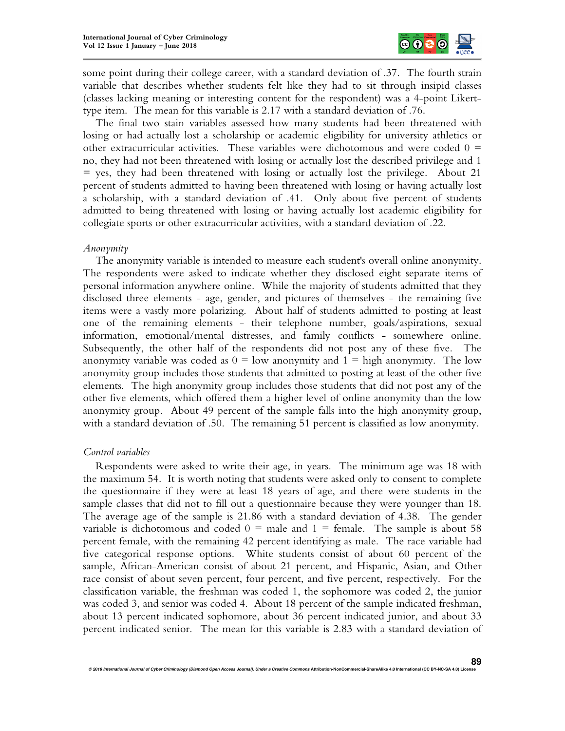

some point during their college career, with a standard deviation of .37. The fourth strain variable that describes whether students felt like they had to sit through insipid classes (classes lacking meaning or interesting content for the respondent) was a 4-point Likerttype item. The mean for this variable is 2.17 with a standard deviation of .76.

The final two stain variables assessed how many students had been threatened with losing or had actually lost a scholarship or academic eligibility for university athletics or other extracurricular activities. These variables were dichotomous and were coded  $0 =$ no, they had not been threatened with losing or actually lost the described privilege and 1  $=$  yes, they had been threatened with losing or actually lost the privilege. About 21 percent of students admitted to having been threatened with losing or having actually lost a scholarship, with a standard deviation of .41. Only about five percent of students admitted to being threatened with losing or having actually lost academic eligibility for collegiate sports or other extracurricular activities, with a standard deviation of .22.

#### *Anonymity*

The anonymity variable is intended to measure each student's overall online anonymity. The respondents were asked to indicate whether they disclosed eight separate items of personal information anywhere online. While the majority of students admitted that they disclosed three elements - age, gender, and pictures of themselves - the remaining five items were a vastly more polarizing. About half of students admitted to posting at least one of the remaining elements - their telephone number, goals/aspirations, sexual information, emotional/mental distresses, and family conflicts - somewhere online. Subsequently, the other half of the respondents did not post any of these five. The anonymity variable was coded as  $0 =$  low anonymity and  $1 =$  high anonymity. The low anonymity group includes those students that admitted to posting at least of the other five elements. The high anonymity group includes those students that did not post any of the other five elements, which offered them a higher level of online anonymity than the low anonymity group. About 49 percent of the sample falls into the high anonymity group, with a standard deviation of .50. The remaining 51 percent is classified as low anonymity.

#### *Control variables*

Respondents were asked to write their age, in years. The minimum age was 18 with the maximum 54. It is worth noting that students were asked only to consent to complete the questionnaire if they were at least 18 years of age, and there were students in the sample classes that did not to fill out a questionnaire because they were younger than 18. The average age of the sample is 21.86 with a standard deviation of 4.38. The gender variable is dichotomous and coded  $0 =$  male and  $1 =$  female. The sample is about 58 percent female, with the remaining 42 percent identifying as male. The race variable had five categorical response options. White students consist of about 60 percent of the sample, African-American consist of about 21 percent, and Hispanic, Asian, and Other race consist of about seven percent, four percent, and five percent, respectively. For the classification variable, the freshman was coded 1, the sophomore was coded 2, the junior was coded 3, and senior was coded 4. About 18 percent of the sample indicated freshman, about 13 percent indicated sophomore, about 36 percent indicated junior, and about 33 percent indicated senior. The mean for this variable is 2.83 with a standard deviation of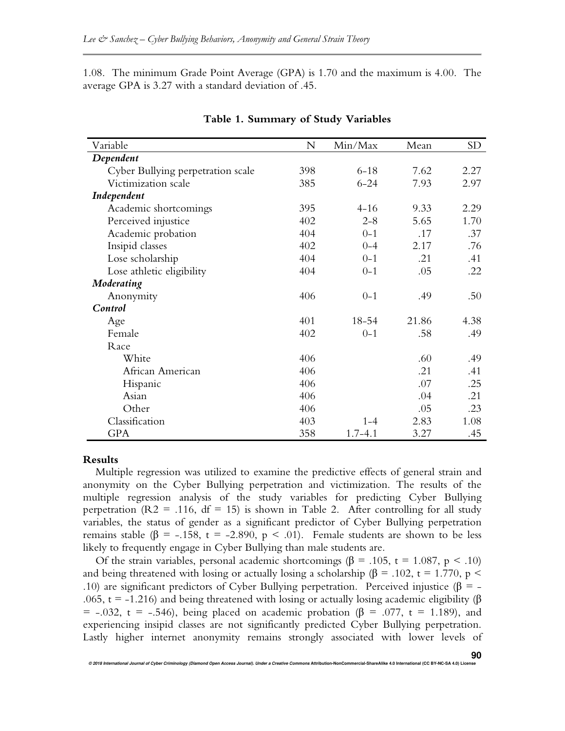1.08. The minimum Grade Point Average (GPA) is 1.70 and the maximum is 4.00. The average GPA is 3.27 with a standard deviation of .45.

| Variable                          | N   | Min/Max     | Mean  | SD <sub>1</sub> |
|-----------------------------------|-----|-------------|-------|-----------------|
| Dependent                         |     |             |       |                 |
| Cyber Bullying perpetration scale | 398 | $6 - 18$    | 7.62  | 2.27            |
| Victimization scale               | 385 | $6 - 24$    | 7.93  | 2.97            |
| Independent                       |     |             |       |                 |
| Academic shortcomings             | 395 | $4 - 16$    | 9.33  | 2.29            |
| Perceived injustice               | 402 | $2 - 8$     | 5.65  | 1.70            |
| Academic probation                | 404 | $0 - 1$     | .17   | .37             |
| Insipid classes                   | 402 | $0 - 4$     | 2.17  | .76             |
| Lose scholarship                  | 404 | $0 - 1$     | .21   | .41             |
| Lose athletic eligibility         | 404 | $0 - 1$     | .05   | .22             |
| Moderating                        |     |             |       |                 |
| Anonymity                         | 406 | $0 - 1$     | .49   | .50             |
| Control                           |     |             |       |                 |
| Age                               | 401 | 18-54       | 21.86 | 4.38            |
| Female                            | 402 | $0 - 1$     | .58   | .49             |
| Race                              |     |             |       |                 |
| White                             | 406 |             | .60   | .49             |
| African American                  | 406 |             | .21   | .41             |
| Hispanic                          | 406 |             | .07   | .25             |
| Asian                             | 406 |             | .04   | .21             |
| Other                             | 406 |             | .05   | .23             |
| Classification                    | 403 | $1 - 4$     | 2.83  | 1.08            |
| <b>GPA</b>                        | 358 | $1.7 - 4.1$ | 3.27  | .45             |

#### **Table 1. Summary of Study Variables**

#### **Results**

Multiple regression was utilized to examine the predictive effects of general strain and anonymity on the Cyber Bullying perpetration and victimization. The results of the multiple regression analysis of the study variables for predicting Cyber Bullying perpetration ( $R2 = .116$ ,  $df = 15$ ) is shown in Table 2. After controlling for all study variables, the status of gender as a significant predictor of Cyber Bullying perpetration remains stable ( $\beta$  = -.158, t = -2.890, p < .01). Female students are shown to be less likely to frequently engage in Cyber Bullying than male students are.

Of the strain variables, personal academic shortcomings ( $\beta$  = .105, t = 1.087, p < .10) and being threatened with losing or actually losing a scholarship ( $\beta$  = .102, t = 1.770, p < .10) are significant predictors of Cyber Bullying perpetration. Perceived injustice (β = -.065, t = -1.216) and being threatened with losing or actually losing academic eligibility ( $\beta$ )  $=$  -.032, t = -.546), being placed on academic probation ( $\beta$  = .077, t = 1.189), and experiencing insipid classes are not significantly predicted Cyber Bullying perpetration. Lastly higher internet anonymity remains strongly associated with lower levels of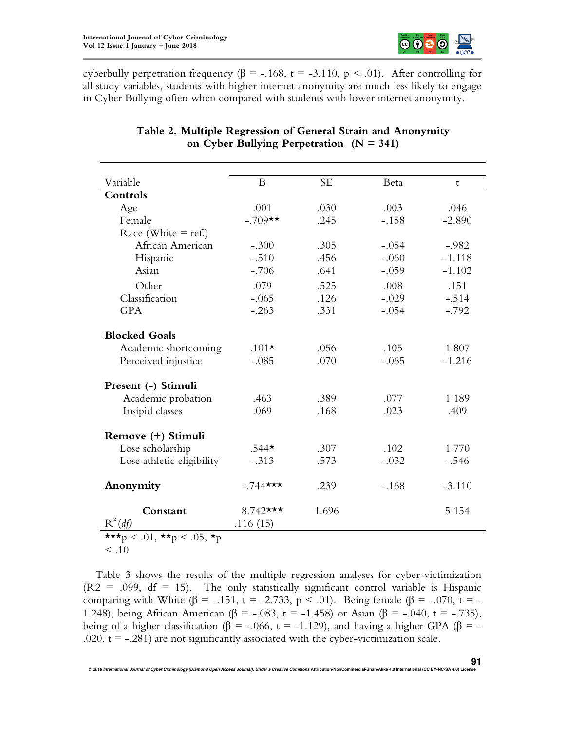

cyberbully perpetration frequency ( $\beta$  = -.168, t = -3.110, p < .01). After controlling for all study variables, students with higher internet anonymity are much less likely to engage in Cyber Bullying often when compared with students with lower internet anonymity.

| Variable                  | B                    | <b>SE</b> | Beta    | t        |
|---------------------------|----------------------|-----------|---------|----------|
| Controls                  |                      |           |         |          |
| Age                       | .001                 | .030      | .003    | .046     |
| Female                    | $-.709**$            | .245      | $-.158$ | $-2.890$ |
| Race (White $=$ ref.)     |                      |           |         |          |
| African American          | $-.300$              | .305      | $-.054$ | $-.982$  |
| Hispanic                  | $-.510$              | .456      | $-.060$ | $-1.118$ |
| Asian                     | $-.706$              | .641      | $-.059$ | $-1.102$ |
| Other                     | .079                 | .525      | .008    | .151     |
| Classification            | $-.065$              | .126      | $-.029$ | $-.514$  |
| <b>GPA</b>                | $-.263$              | .331      | $-.054$ | $-.792$  |
|                           |                      |           |         |          |
| <b>Blocked Goals</b>      |                      |           |         |          |
| Academic shortcoming      | $.101*$              | .056      | .105    | 1.807    |
| Perceived injustice       | $-.085$              | .070      | $-.065$ | $-1.216$ |
| Present (-) Stimuli       |                      |           |         |          |
| Academic probation        | .463                 | .389      | .077    | 1.189    |
| Insipid classes           | .069                 | .168      | .023    | .409     |
|                           |                      |           |         |          |
| Remove (+) Stimuli        |                      |           |         |          |
| Lose scholarship          | $.544*$              | .307      | .102    | 1.770    |
| Lose athletic eligibility | $-.313$              | .573      | $-.032$ | $-.546$  |
| Anonymity                 | $-.744***$           | .239      | $-.168$ | $-3.110$ |
| Constant<br>$R^2(df)$     | 8.742***<br>.116(15) | 1.696     |         | 5.154    |
| ***p < .01, **p < .05, *p |                      |           |         |          |

# **Table 2. Multiple Regression of General Strain and Anonymity on Cyber Bullying Perpetration (N = 341)**

 $< .10$ 

Table 3 shows the results of the multiple regression analyses for cyber-victimization  $(R2 = .099, df = 15)$ . The only statistically significant control variable is Hispanic comparing with White (β = -.151, t = -2.733, p < .01). Being female (β = -.070, t = -1.248), being African American (β = -.083, t = -1.458) or Asian (β = -.040, t = -.735), being of a higher classification (β = -.066, t = -1.129), and having a higher GPA (β = -.020,  $t = -0.281$ ) are not significantly associated with the cyber-victimization scale.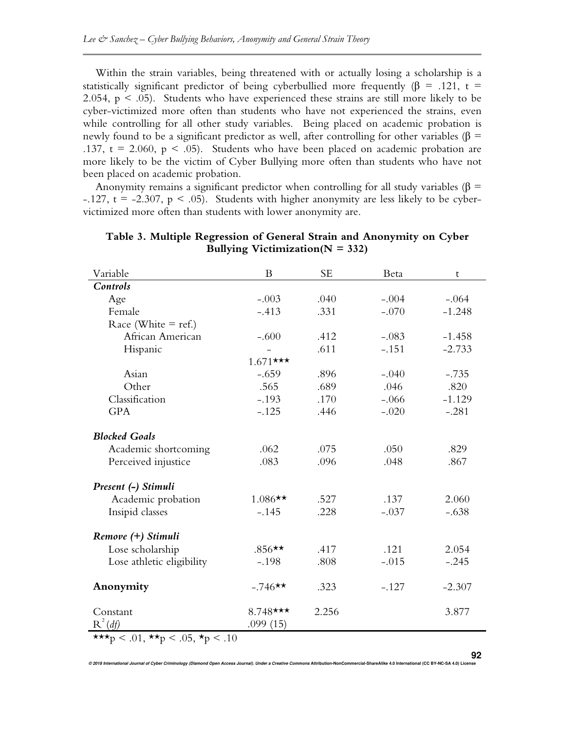Within the strain variables, being threatened with or actually losing a scholarship is a statistically significant predictor of being cyberbullied more frequently ( $\beta$  = .121, t = 2.054,  $p < .05$ ). Students who have experienced these strains are still more likely to be cyber-victimized more often than students who have not experienced the strains, even while controlling for all other study variables. Being placed on academic probation is newly found to be a significant predictor as well, after controlling for other variables ( $\beta$  = .137,  $t = 2.060$ ,  $p < .05$ ). Students who have been placed on academic probation are more likely to be the victim of Cyber Bullying more often than students who have not been placed on academic probation.

Anonymity remains a significant predictor when controlling for all study variables ( $\beta$  =  $-.127$ , t =  $-2.307$ , p < .05). Students with higher anonymity are less likely to be cybervictimized more often than students with lower anonymity are.

| Variable                                                                                                                                                                                                                                                                                                                               | B           | <b>SE</b> | Beta    | $\mathsf{t}$ |  |  |  |  |
|----------------------------------------------------------------------------------------------------------------------------------------------------------------------------------------------------------------------------------------------------------------------------------------------------------------------------------------|-------------|-----------|---------|--------------|--|--|--|--|
| Controls                                                                                                                                                                                                                                                                                                                               |             |           |         |              |  |  |  |  |
| Age                                                                                                                                                                                                                                                                                                                                    | $-.003$     | .040      | $-.004$ | $-.064$      |  |  |  |  |
| Female                                                                                                                                                                                                                                                                                                                                 | $-.413$     | .331      | $-.070$ | $-1.248$     |  |  |  |  |
| Race (White $=$ ref.)                                                                                                                                                                                                                                                                                                                  |             |           |         |              |  |  |  |  |
| African American                                                                                                                                                                                                                                                                                                                       | $-.600$     | .412      | $-.083$ | $-1.458$     |  |  |  |  |
| Hispanic                                                                                                                                                                                                                                                                                                                               |             | .611      | $-.151$ | $-2.733$     |  |  |  |  |
|                                                                                                                                                                                                                                                                                                                                        | $1.671$ *** |           |         |              |  |  |  |  |
| Asian                                                                                                                                                                                                                                                                                                                                  | $-.659$     | .896      | $-.040$ | $-.735$      |  |  |  |  |
| Other                                                                                                                                                                                                                                                                                                                                  | .565        | .689      | .046    | .820         |  |  |  |  |
| Classification                                                                                                                                                                                                                                                                                                                         | $-.193$     | .170      | $-.066$ | $-1.129$     |  |  |  |  |
| <b>GPA</b>                                                                                                                                                                                                                                                                                                                             | $-.125$     | .446      | $-.020$ | $-.281$      |  |  |  |  |
|                                                                                                                                                                                                                                                                                                                                        |             |           |         |              |  |  |  |  |
| <b>Blocked Goals</b>                                                                                                                                                                                                                                                                                                                   |             |           |         |              |  |  |  |  |
| Academic shortcoming                                                                                                                                                                                                                                                                                                                   | .062        | .075      | .050    | .829         |  |  |  |  |
| Perceived injustice                                                                                                                                                                                                                                                                                                                    | .083        | .096      | .048    | .867         |  |  |  |  |
|                                                                                                                                                                                                                                                                                                                                        |             |           |         |              |  |  |  |  |
| Present (-) Stimuli                                                                                                                                                                                                                                                                                                                    |             |           |         |              |  |  |  |  |
| Academic probation                                                                                                                                                                                                                                                                                                                     | $1.086**$   | .527      | .137    | 2.060        |  |  |  |  |
| Insipid classes                                                                                                                                                                                                                                                                                                                        | $-.145$     | .228      | $-.037$ | $-.638$      |  |  |  |  |
| Remove (+) Stimuli                                                                                                                                                                                                                                                                                                                     |             |           |         |              |  |  |  |  |
| Lose scholarship                                                                                                                                                                                                                                                                                                                       | $.856**$    | .417      | .121    | 2.054        |  |  |  |  |
| Lose athletic eligibility                                                                                                                                                                                                                                                                                                              | $-.198$     | .808      | $-.015$ | $-.245$      |  |  |  |  |
|                                                                                                                                                                                                                                                                                                                                        |             |           |         |              |  |  |  |  |
| Anonymity                                                                                                                                                                                                                                                                                                                              | $-.746**$   | .323      | $-.127$ | $-2.307$     |  |  |  |  |
|                                                                                                                                                                                                                                                                                                                                        |             |           |         |              |  |  |  |  |
| Constant                                                                                                                                                                                                                                                                                                                               | 8.748***    | 2.256     |         | 3.877        |  |  |  |  |
| $R^2(df)$                                                                                                                                                                                                                                                                                                                              | .099(15)    |           |         |              |  |  |  |  |
| $\sim$ 0.4 $\pm$<br>$\sqrt{2}$ $\sqrt{2}$ $\sqrt{2}$ $\sqrt{2}$ $\sqrt{2}$ $\sqrt{2}$ $\sqrt{2}$ $\sqrt{2}$ $\sqrt{2}$ $\sqrt{2}$ $\sqrt{2}$ $\sqrt{2}$ $\sqrt{2}$ $\sqrt{2}$ $\sqrt{2}$ $\sqrt{2}$ $\sqrt{2}$ $\sqrt{2}$ $\sqrt{2}$ $\sqrt{2}$ $\sqrt{2}$ $\sqrt{2}$ $\sqrt{2}$ $\sqrt{2}$ $\sqrt{2}$ $\sqrt{2}$ $\sqrt{2}$ $\sqrt{2$ |             |           |         |              |  |  |  |  |

**Table 3. Multiple Regression of General Strain and Anonymity on Cyber Bullying Victimization(N = 332)** 

\*\*\*p < .01, \*\*p < .05, \*p < .10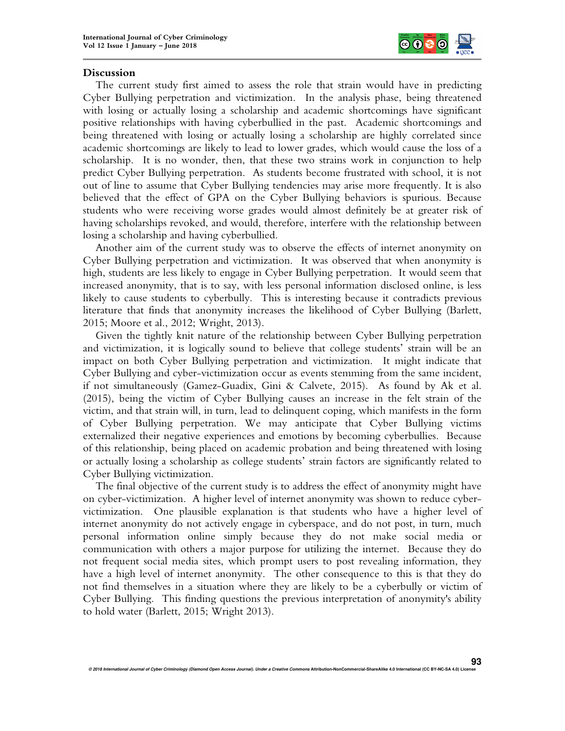

## **Discussion**

The current study first aimed to assess the role that strain would have in predicting Cyber Bullying perpetration and victimization. In the analysis phase, being threatened with losing or actually losing a scholarship and academic shortcomings have significant positive relationships with having cyberbullied in the past. Academic shortcomings and being threatened with losing or actually losing a scholarship are highly correlated since academic shortcomings are likely to lead to lower grades, which would cause the loss of a scholarship. It is no wonder, then, that these two strains work in conjunction to help predict Cyber Bullying perpetration. As students become frustrated with school, it is not out of line to assume that Cyber Bullying tendencies may arise more frequently. It is also believed that the effect of GPA on the Cyber Bullying behaviors is spurious. Because students who were receiving worse grades would almost definitely be at greater risk of having scholarships revoked, and would, therefore, interfere with the relationship between losing a scholarship and having cyberbullied.

Another aim of the current study was to observe the effects of internet anonymity on Cyber Bullying perpetration and victimization. It was observed that when anonymity is high, students are less likely to engage in Cyber Bullying perpetration. It would seem that increased anonymity, that is to say, with less personal information disclosed online, is less likely to cause students to cyberbully. This is interesting because it contradicts previous literature that finds that anonymity increases the likelihood of Cyber Bullying (Barlett, 2015; Moore et al., 2012; Wright, 2013).

Given the tightly knit nature of the relationship between Cyber Bullying perpetration and victimization, it is logically sound to believe that college students' strain will be an impact on both Cyber Bullying perpetration and victimization. It might indicate that Cyber Bullying and cyber-victimization occur as events stemming from the same incident, if not simultaneously (Gamez-Guadix, Gini & Calvete, 2015). As found by Ak et al. (2015), being the victim of Cyber Bullying causes an increase in the felt strain of the victim, and that strain will, in turn, lead to delinquent coping, which manifests in the form of Cyber Bullying perpetration. We may anticipate that Cyber Bullying victims externalized their negative experiences and emotions by becoming cyberbullies. Because of this relationship, being placed on academic probation and being threatened with losing or actually losing a scholarship as college students' strain factors are significantly related to Cyber Bullying victimization.

The final objective of the current study is to address the effect of anonymity might have on cyber-victimization. A higher level of internet anonymity was shown to reduce cybervictimization. One plausible explanation is that students who have a higher level of internet anonymity do not actively engage in cyberspace, and do not post, in turn, much personal information online simply because they do not make social media or communication with others a major purpose for utilizing the internet. Because they do not frequent social media sites, which prompt users to post revealing information, they have a high level of internet anonymity. The other consequence to this is that they do not find themselves in a situation where they are likely to be a cyberbully or victim of Cyber Bullying. This finding questions the previous interpretation of anonymity's ability to hold water (Barlett, 2015; Wright 2013).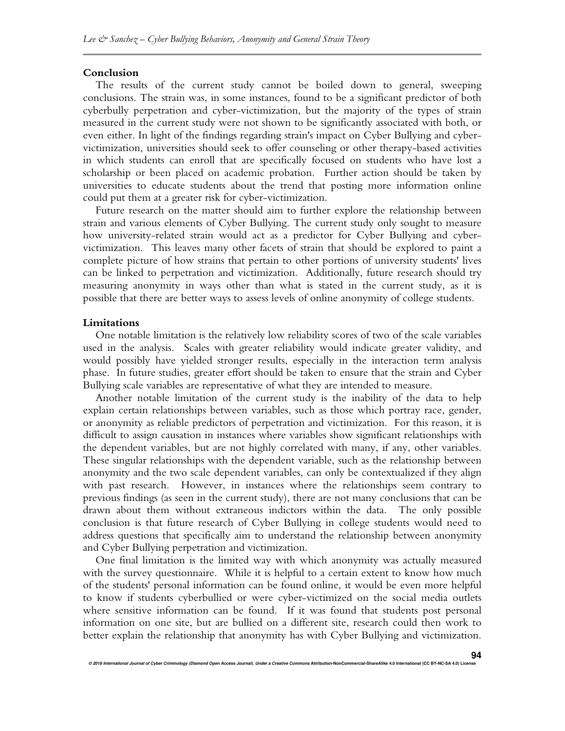#### **Conclusion**

The results of the current study cannot be boiled down to general, sweeping conclusions. The strain was, in some instances, found to be a significant predictor of both cyberbully perpetration and cyber-victimization, but the majority of the types of strain measured in the current study were not shown to be significantly associated with both, or even either. In light of the findings regarding strain's impact on Cyber Bullying and cybervictimization, universities should seek to offer counseling or other therapy-based activities in which students can enroll that are specifically focused on students who have lost a scholarship or been placed on academic probation. Further action should be taken by universities to educate students about the trend that posting more information online could put them at a greater risk for cyber-victimization.

Future research on the matter should aim to further explore the relationship between strain and various elements of Cyber Bullying. The current study only sought to measure how university-related strain would act as a predictor for Cyber Bullying and cybervictimization. This leaves many other facets of strain that should be explored to paint a complete picture of how strains that pertain to other portions of university students' lives can be linked to perpetration and victimization. Additionally, future research should try measuring anonymity in ways other than what is stated in the current study, as it is possible that there are better ways to assess levels of online anonymity of college students.

#### **Limitations**

One notable limitation is the relatively low reliability scores of two of the scale variables used in the analysis. Scales with greater reliability would indicate greater validity, and would possibly have yielded stronger results, especially in the interaction term analysis phase. In future studies, greater effort should be taken to ensure that the strain and Cyber Bullying scale variables are representative of what they are intended to measure.

Another notable limitation of the current study is the inability of the data to help explain certain relationships between variables, such as those which portray race, gender, or anonymity as reliable predictors of perpetration and victimization. For this reason, it is difficult to assign causation in instances where variables show significant relationships with the dependent variables, but are not highly correlated with many, if any, other variables. These singular relationships with the dependent variable, such as the relationship between anonymity and the two scale dependent variables, can only be contextualized if they align with past research. However, in instances where the relationships seem contrary to previous findings (as seen in the current study), there are not many conclusions that can be drawn about them without extraneous indictors within the data. The only possible conclusion is that future research of Cyber Bullying in college students would need to address questions that specifically aim to understand the relationship between anonymity and Cyber Bullying perpetration and victimization.

One final limitation is the limited way with which anonymity was actually measured with the survey questionnaire. While it is helpful to a certain extent to know how much of the students' personal information can be found online, it would be even more helpful to know if students cyberbullied or were cyber-victimized on the social media outlets where sensitive information can be found. If it was found that students post personal information on one site, but are bullied on a different site, research could then work to better explain the relationship that anonymity has with Cyber Bullying and victimization.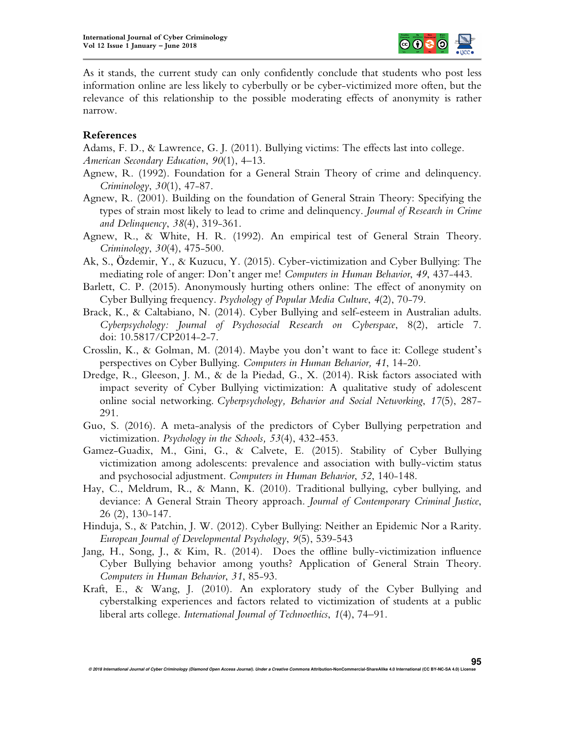

As it stands, the current study can only confidently conclude that students who post less information online are less likely to cyberbully or be cyber-victimized more often, but the relevance of this relationship to the possible moderating effects of anonymity is rather narrow.

## **References**

Adams, F. D., & Lawrence, G. J. (2011). Bullying victims: The effects last into college. *American Secondary Education*, *90*(1), 4–13.

- Agnew, R. (1992). Foundation for a General Strain Theory of crime and delinquency. *Criminology*, *30*(1), 47-87.
- Agnew, R. (2001). Building on the foundation of General Strain Theory: Specifying the types of strain most likely to lead to crime and delinquency. *Journal of Research in Crime and Delinquency*, *38*(4), 319-361.
- Agnew, R., & White, H. R. (1992). An empirical test of General Strain Theory. *Criminology*, *30*(4), 475-500.
- Ak, S., Özdemir, Y., & Kuzucu, Y. (2015). Cyber-victimization and Cyber Bullying: The mediating role of anger: Don't anger me! *Computers in Human Behavior*, *49*, 437-443.
- Barlett, C. P. (2015). Anonymously hurting others online: The effect of anonymity on Cyber Bullying frequency. *Psychology of Popular Media Culture*, *4*(2), 70-79.
- Brack, K., & Caltabiano, N. (2014). Cyber Bullying and self-esteem in Australian adults. *Cyberpsychology: Journal of Psychosocial Research on Cyberspace*, 8(2), article 7. doi: 10.5817/CP2014-2-7.
- Crosslin, K., & Golman, M. (2014). Maybe you don't want to face it: College student's perspectives on Cyber Bullying. *Computers in Human Behavior, 41*, 14-20.
- Dredge, R., Gleeson, J. M., & de la Piedad, G., X. (2014). Risk factors associated with impact severity of Cyber Bullying victimization: A qualitative study of adolescent online social networking. *Cyberpsychology, Behavior and Social Networking*, *17*(5), 287- 291.
- Guo, S. (2016). A meta-analysis of the predictors of Cyber Bullying perpetration and victimization. *Psychology in the Schools, 53*(4), 432-453.
- Gamez-Guadix, M., Gini, G., & Calvete, E. (2015). Stability of Cyber Bullying victimization among adolescents: prevalence and association with bully-victim status and psychosocial adjustment. *Computers in Human Behavior*, *52*, 140-148.
- Hay, C., Meldrum, R., & Mann, K. (2010). Traditional bullying, cyber bullying, and deviance: A General Strain Theory approach. *Journal of Contemporary Criminal Justice*, 26 (2), 130-147.
- Hinduja, S., & Patchin, J. W. (2012). Cyber Bullying: Neither an Epidemic Nor a Rarity. *European Journal of Developmental Psychology*, *9*(5), 539-543
- Jang, H., Song, J., & Kim, R. (2014). Does the offline bully-victimization influence Cyber Bullying behavior among youths? Application of General Strain Theory. *Computers in Human Behavior*, *31*, 85-93.
- Kraft, E., & Wang, J. (2010). An exploratory study of the Cyber Bullying and cyberstalking experiences and factors related to victimization of students at a public liberal arts college. *International Journal of Technoethics*, *1*(4), 74–91.

**© 2018 International Journal of Cyber Criminology (Diamond Open Access Journal). Under a Creative Commons Attribution-NonCommercial-ShareAlike 4.0 International (CC BY-NC-SA 4.0) License** 

**95**